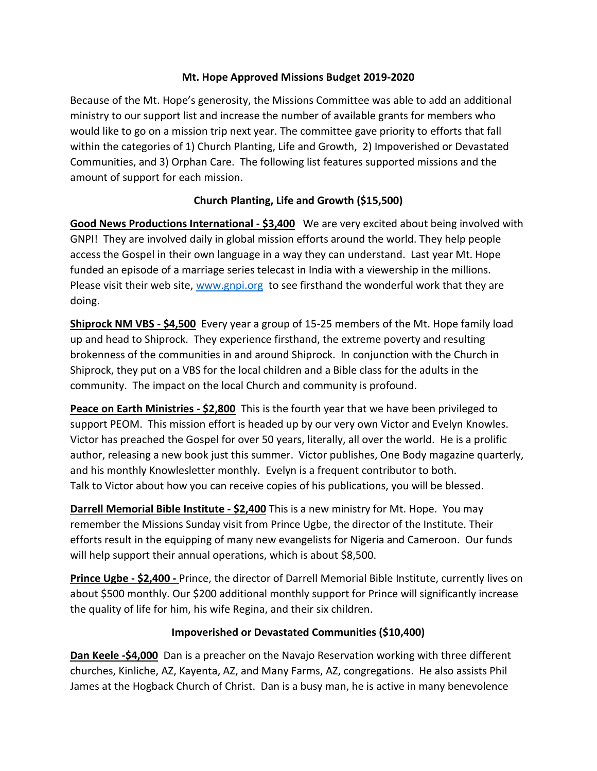#### **Mt. Hope Approved Missions Budget 2019-2020**

Because of the Mt. Hope's generosity, the Missions Committee was able to add an additional ministry to our support list and increase the number of available grants for members who would like to go on a mission trip next year. The committee gave priority to efforts that fall within the categories of 1) Church Planting, Life and Growth, 2) Impoverished or Devastated Communities, and 3) Orphan Care. The following list features supported missions and the amount of support for each mission.

### **Church Planting, Life and Growth (\$15,500)**

**Good News Productions International - \$3,400** We are very excited about being involved with GNPI! They are involved daily in global mission efforts around the world. They help people access the Gospel in their own language in a way they can understand. Last year Mt. Hope funded an episode of a marriage series telecast in India with a viewership in the millions. Please visit their web site, [www.gnpi.org](http://www.gnpi.org/) to see firsthand the wonderful work that they are doing.

**Shiprock NM VBS - \$4,500** Every year a group of 15-25 members of the Mt. Hope family load up and head to Shiprock. They experience firsthand, the extreme poverty and resulting brokenness of the communities in and around Shiprock. In conjunction with the Church in Shiprock, they put on a VBS for the local children and a Bible class for the adults in the community. The impact on the local Church and community is profound.

**Peace on Earth Ministries - \$2,800** This is the fourth year that we have been privileged to support PEOM. This mission effort is headed up by our very own Victor and Evelyn Knowles. Victor has preached the Gospel for over 50 years, literally, all over the world. He is a prolific author, releasing a new book just this summer. Victor publishes, One Body magazine quarterly, and his monthly Knowlesletter monthly. Evelyn is a frequent contributor to both. Talk to Victor about how you can receive copies of his publications, you will be blessed.

**Darrell Memorial Bible Institute - \$2,400** This is a new ministry for Mt. Hope. You may remember the Missions Sunday visit from Prince Ugbe, the director of the Institute. Their efforts result in the equipping of many new evangelists for Nigeria and Cameroon. Our funds will help support their annual operations, which is about \$8,500.

**Prince Ugbe - \$2,400 -** Prince, the director of Darrell Memorial Bible Institute, currently lives on about \$500 monthly. Our \$200 additional monthly support for Prince will significantly increase the quality of life for him, his wife Regina, and their six children.

### **Impoverished or Devastated Communities (\$10,400)**

**Dan Keele -\$4,000** Dan is a preacher on the Navajo Reservation working with three different churches, Kinliche, AZ, Kayenta, AZ, and Many Farms, AZ, congregations. He also assists Phil James at the Hogback Church of Christ. Dan is a busy man, he is active in many benevolence